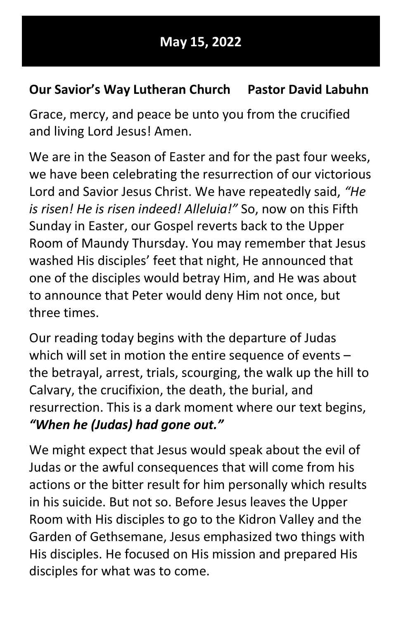## May 15, 2022

## Our Savior's Way Lutheran Church Pastor David Labuhn

Grace, mercy, and peace be unto you from the crucified and living Lord Jesus! Amen.

We are in the Season of Easter and for the past four weeks, we have been celebrating the resurrection of our victorious Lord and Savior Jesus Christ. We have repeatedly said, "He is risen! He is risen indeed! Alleluia!" So, now on this Fifth Sunday in Easter, our Gospel reverts back to the Upper Room of Maundy Thursday. You may remember that Jesus washed His disciples' feet that night, He announced that one of the disciples would betray Him, and He was about to announce that Peter would deny Him not once, but three times.

Our reading today begins with the departure of Judas which will set in motion the entire sequence of events – the betrayal, arrest, trials, scourging, the walk up the hill to Calvary, the crucifixion, the death, the burial, and resurrection. This is a dark moment where our text begins, "When he (Judas) had gone out."

We might expect that Jesus would speak about the evil of Judas or the awful consequences that will come from his actions or the bitter result for him personally which results in his suicide. But not so. Before Jesus leaves the Upper Room with His disciples to go to the Kidron Valley and the Garden of Gethsemane, Jesus emphasized two things with His disciples. He focused on His mission and prepared His disciples for what was to come.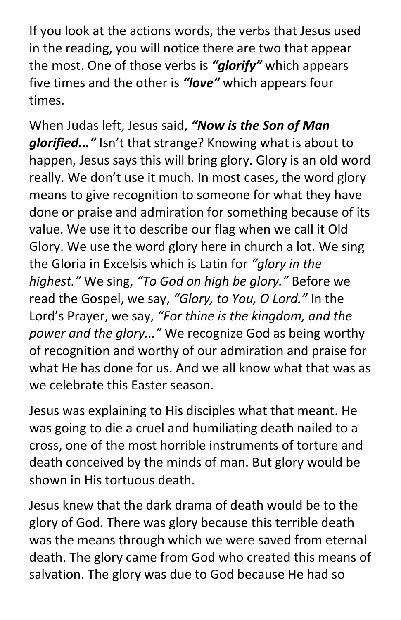If you look at the actions words, the verbs that Jesus used in the reading, you will notice there are two that appear the most. One of those verbs is "glorify" which appears five times and the other is "love" which appears four times.

When Judas left, Jesus said, "Now is the Son of Man glorified..." Isn't that strange? Knowing what is about to happen, Jesus says this will bring glory. Glory is an old word really. We don't use it much. In most cases, the word glory means to give recognition to someone for what they have done or praise and admiration for something because of its value. We use it to describe our flag when we call it Old Glory. We use the word glory here in church a lot. We sing the Gloria in Excelsis which is Latin for "glory in the highest." We sing, "To God on high be glory." Before we read the Gospel, we say, "Glory, to You, O Lord." In the Lord's Prayer, we say, "For thine is the kingdom, and the power and the glory..." We recognize God as being worthy of recognition and worthy of our admiration and praise for what He has done for us. And we all know what that was as we celebrate this Easter season.

Jesus was explaining to His disciples what that meant. He was going to die a cruel and humiliating death nailed to a cross, one of the most horrible instruments of torture and death conceived by the minds of man. But glory would be shown in His tortuous death.

Jesus knew that the dark drama of death would be to the glory of God. There was glory because this terrible death was the means through which we were saved from eternal death. The glory came from God who created this means of salvation. The glory was due to God because He had so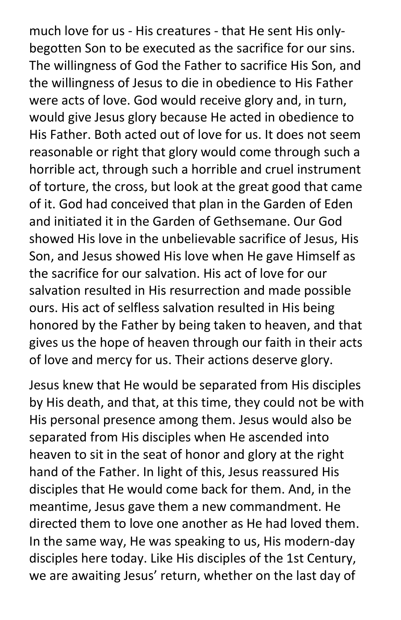much love for us - His creatures - that He sent His onlybegotten Son to be executed as the sacrifice for our sins. The willingness of God the Father to sacrifice His Son, and the willingness of Jesus to die in obedience to His Father were acts of love. God would receive glory and, in turn, would give Jesus glory because He acted in obedience to His Father. Both acted out of love for us. It does not seem reasonable or right that glory would come through such a horrible act, through such a horrible and cruel instrument of torture, the cross, but look at the great good that came of it. God had conceived that plan in the Garden of Eden and initiated it in the Garden of Gethsemane. Our God showed His love in the unbelievable sacrifice of Jesus, His Son, and Jesus showed His love when He gave Himself as the sacrifice for our salvation. His act of love for our salvation resulted in His resurrection and made possible ours. His act of selfless salvation resulted in His being honored by the Father by being taken to heaven, and that gives us the hope of heaven through our faith in their acts of love and mercy for us. Their actions deserve glory.

Jesus knew that He would be separated from His disciples by His death, and that, at this time, they could not be with His personal presence among them. Jesus would also be separated from His disciples when He ascended into heaven to sit in the seat of honor and glory at the right hand of the Father. In light of this, Jesus reassured His disciples that He would come back for them. And, in the meantime, Jesus gave them a new commandment. He directed them to love one another as He had loved them. In the same way, He was speaking to us, His modern-day disciples here today. Like His disciples of the 1st Century, we are awaiting Jesus' return, whether on the last day of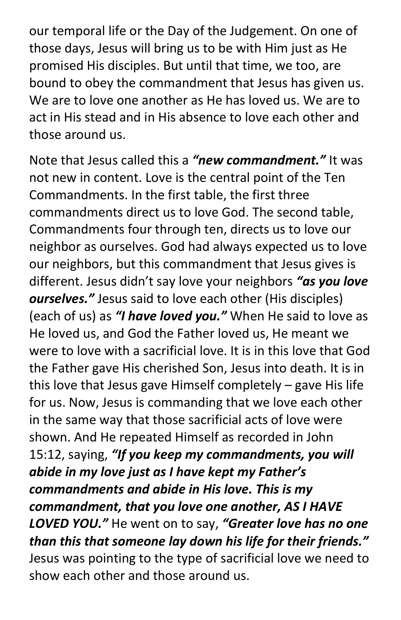our temporal life or the Day of the Judgement. On one of those days, Jesus will bring us to be with Him just as He promised His disciples. But until that time, we too, are bound to obey the commandment that Jesus has given us. We are to love one another as He has loved us. We are to act in His stead and in His absence to love each other and those around us.

Note that Jesus called this a "new commandment." It was not new in content. Love is the central point of the Ten Commandments. In the first table, the first three commandments direct us to love God. The second table, Commandments four through ten, directs us to love our neighbor as ourselves. God had always expected us to love our neighbors, but this commandment that Jesus gives is different. Jesus didn't say love your neighbors "as you love ourselves." Jesus said to love each other (His disciples) (each of us) as "I have loved you." When He said to love as He loved us, and God the Father loved us, He meant we were to love with a sacrificial love. It is in this love that God the Father gave His cherished Son, Jesus into death. It is in this love that Jesus gave Himself completely – gave His life for us. Now, Jesus is commanding that we love each other in the same way that those sacrificial acts of love were shown. And He repeated Himself as recorded in John 15:12, saying, "If you keep my commandments, you will abide in my love just as I have kept my Father's commandments and abide in His love. This is my commandment, that you love one another, AS I HAVE LOVED YOU." He went on to say, "Greater love has no one than this that someone lay down his life for their friends." Jesus was pointing to the type of sacrificial love we need to show each other and those around us.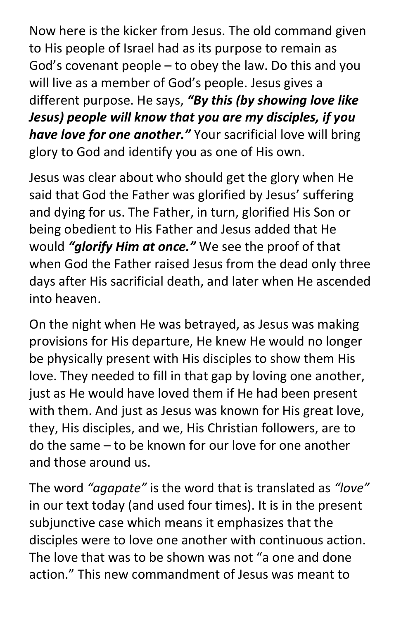Now here is the kicker from Jesus. The old command given to His people of Israel had as its purpose to remain as God's covenant people – to obey the law. Do this and you will live as a member of God's people. Jesus gives a different purpose. He says, "By this (by showing love like Jesus) people will know that you are my disciples, if you have love for one another." Your sacrificial love will bring glory to God and identify you as one of His own.

Jesus was clear about who should get the glory when He said that God the Father was glorified by Jesus' suffering and dying for us. The Father, in turn, glorified His Son or being obedient to His Father and Jesus added that He would "glorify Him at once." We see the proof of that when God the Father raised Jesus from the dead only three days after His sacrificial death, and later when He ascended into heaven.

On the night when He was betrayed, as Jesus was making provisions for His departure, He knew He would no longer be physically present with His disciples to show them His love. They needed to fill in that gap by loving one another, just as He would have loved them if He had been present with them. And just as Jesus was known for His great love, they, His disciples, and we, His Christian followers, are to do the same – to be known for our love for one another and those around us.

The word "agapate" is the word that is translated as "love" in our text today (and used four times). It is in the present subjunctive case which means it emphasizes that the disciples were to love one another with continuous action. The love that was to be shown was not "a one and done action." This new commandment of Jesus was meant to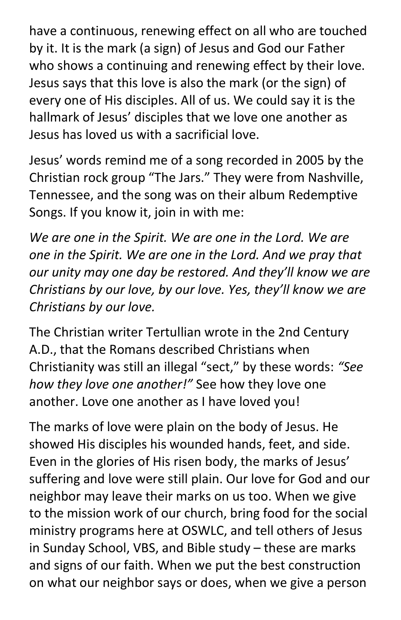have a continuous, renewing effect on all who are touched by it. It is the mark (a sign) of Jesus and God our Father who shows a continuing and renewing effect by their love. Jesus says that this love is also the mark (or the sign) of every one of His disciples. All of us. We could say it is the hallmark of Jesus' disciples that we love one another as Jesus has loved us with a sacrificial love.

Jesus' words remind me of a song recorded in 2005 by the Christian rock group "The Jars." They were from Nashville, Tennessee, and the song was on their album Redemptive Songs. If you know it, join in with me:

We are one in the Spirit. We are one in the Lord. We are one in the Spirit. We are one in the Lord. And we pray that our unity may one day be restored. And they'll know we are Christians by our love, by our love. Yes, they'll know we are Christians by our love.

The Christian writer Tertullian wrote in the 2nd Century A.D., that the Romans described Christians when Christianity was still an illegal "sect," by these words: "See how they love one another!" See how they love one another. Love one another as I have loved you!

The marks of love were plain on the body of Jesus. He showed His disciples his wounded hands, feet, and side. Even in the glories of His risen body, the marks of Jesus' suffering and love were still plain. Our love for God and our neighbor may leave their marks on us too. When we give to the mission work of our church, bring food for the social ministry programs here at OSWLC, and tell others of Jesus in Sunday School, VBS, and Bible study – these are marks and signs of our faith. When we put the best construction on what our neighbor says or does, when we give a person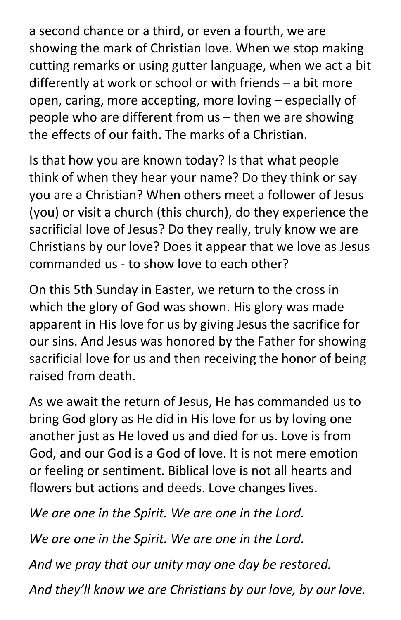a second chance or a third, or even a fourth, we are showing the mark of Christian love. When we stop making cutting remarks or using gutter language, when we act a bit differently at work or school or with friends – a bit more open, caring, more accepting, more loving – especially of people who are different from us – then we are showing the effects of our faith. The marks of a Christian.

Is that how you are known today? Is that what people think of when they hear your name? Do they think or say you are a Christian? When others meet a follower of Jesus (you) or visit a church (this church), do they experience the sacrificial love of Jesus? Do they really, truly know we are Christians by our love? Does it appear that we love as Jesus commanded us - to show love to each other?

On this 5th Sunday in Easter, we return to the cross in which the glory of God was shown. His glory was made apparent in His love for us by giving Jesus the sacrifice for our sins. And Jesus was honored by the Father for showing sacrificial love for us and then receiving the honor of being raised from death.

As we await the return of Jesus, He has commanded us to bring God glory as He did in His love for us by loving one another just as He loved us and died for us. Love is from God, and our God is a God of love. It is not mere emotion or feeling or sentiment. Biblical love is not all hearts and flowers but actions and deeds. Love changes lives.

We are one in the Spirit. We are one in the Lord. We are one in the Spirit. We are one in the Lord. And we pray that our unity may one day be restored. And they'll know we are Christians by our love, by our love.